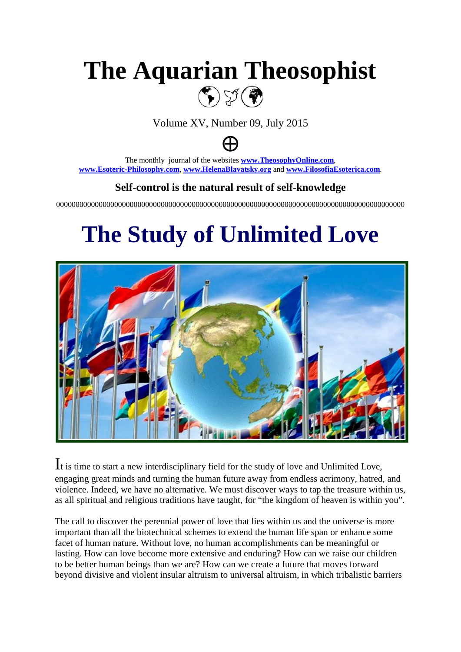# **The Aquarian Theosophist**  $\textbf{C}$

Volume XV, Number 09, July 2015



The monthly journal of the websites **[www.TheosophyOnline.com](http://www.theosophyonline.com/)**, **[www.Esoteric-Philosophy.com](http://www.esoteric-philosophy.com/)**, **[www.HelenaBlavatsky.org](http://www.helenablavatsky.org/)** and **[www.FilosofiaEsoterica.com](http://www.filosofiaesoterica.com/)**.

#### **Self-control is the natural result of self-knowledge**

000000000000000000000000000000000000000000000000000000000000000000000000000000000000000000

# **The Study of Unlimited Love**



It is time to start a new interdisciplinary field for the study of love and Unlimited Love, engaging great minds and turning the human future away from endless acrimony, hatred, and violence. Indeed, we have no alternative. We must discover ways to tap the treasure within us, as all spiritual and religious traditions have taught, for "the kingdom of heaven is within you".

The call to discover the perennial power of love that lies within us and the universe is more important than all the biotechnical schemes to extend the human life span or enhance some facet of human nature. Without love, no human accomplishments can be meaningful or lasting. How can love become more extensive and enduring? How can we raise our children to be better human beings than we are? How can we create a future that moves forward beyond divisive and violent insular altruism to universal altruism, in which tribalistic barriers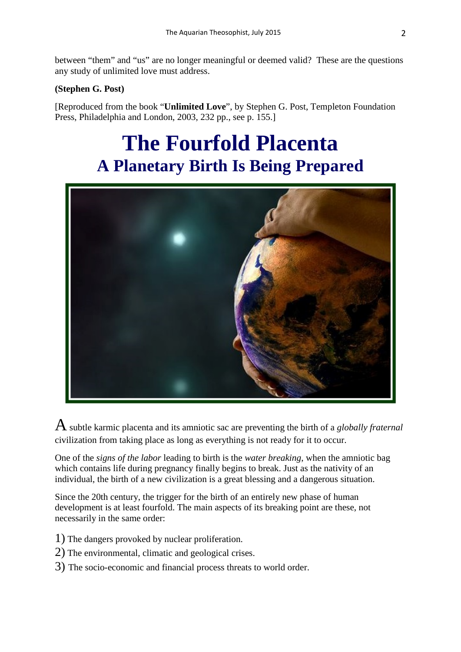between "them" and "us" are no longer meaningful or deemed valid? These are the questions any study of unlimited love must address.

#### **(Stephen G. Post)**

[Reproduced from the book "**Unlimited Love**", by Stephen G. Post, Templeton Foundation Press, Philadelphia and London, 2003, 232 pp., see p. 155.]

## **The Fourfold Placenta A Planetary Birth Is Being Prepared**



Asubtle karmic placenta and its amniotic sac are preventing the birth of a *globally fraternal* civilization from taking place as long as everything is not ready for it to occur.

One of the *signs of the labor* leading to birth is the *water breaking*, when the amniotic bag which contains life during pregnancy finally begins to break. Just as the nativity of an individual, the birth of a new civilization is a great blessing and a dangerous situation.

Since the 20th century, the trigger for the birth of an entirely new phase of human development is at least fourfold. The main aspects of its breaking point are these, not necessarily in the same order:

- 1) The dangers provoked by nuclear proliferation.
- 2) The environmental, climatic and geological crises.
- 3) The socio-economic and financial process threats to world order.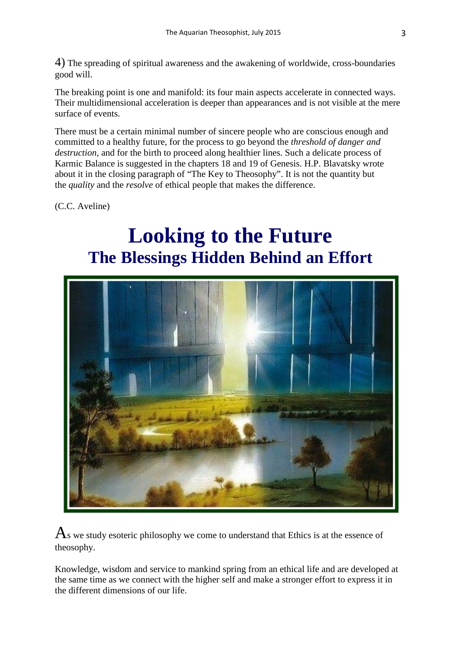4) The spreading of spiritual awareness and the awakening of worldwide, cross-boundaries good will.

The breaking point is one and manifold: its four main aspects accelerate in connected ways. Their multidimensional acceleration is deeper than appearances and is not visible at the mere surface of events.

There must be a certain minimal number of sincere people who are conscious enough and committed to a healthy future, for the process to go beyond the *threshold of danger and destruction*, and for the birth to proceed along healthier lines. Such a delicate process of Karmic Balance is suggested in the chapters 18 and 19 of Genesis. H.P. Blavatsky wrote about it in the closing paragraph of "The Key to Theosophy". It is not the quantity but the *quality* and the *resolve* of ethical people that makes the difference.

(C.C. Aveline)

## **Looking to the Future The Blessings Hidden Behind an Effort**



 $\mathbf{A}_s$  we study esoteric philosophy we come to understand that Ethics is at the essence of theosophy.

Knowledge, wisdom and service to mankind spring from an ethical life and are developed at the same time as we connect with the higher self and make a stronger effort to express it in the different dimensions of our life.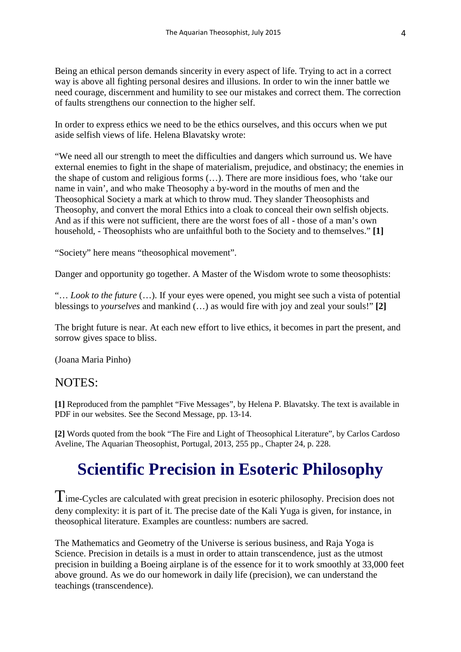Being an ethical person demands sincerity in every aspect of life. Trying to act in a correct way is above all fighting personal desires and illusions. In order to win the inner battle we need courage, discernment and humility to see our mistakes and correct them. The correction of faults strengthens our connection to the higher self.

In order to express ethics we need to be the ethics ourselves, and this occurs when we put aside selfish views of life. Helena Blavatsky wrote:

"We need all our strength to meet the difficulties and dangers which surround us. We have external enemies to fight in the shape of materialism, prejudice, and obstinacy; the enemies in the shape of custom and religious forms (…). There are more insidious foes, who 'take our name in vain', and who make Theosophy a by-word in the mouths of men and the Theosophical Society a mark at which to throw mud. They slander Theosophists and Theosophy, and convert the moral Ethics into a cloak to conceal their own selfish objects. And as if this were not sufficient, there are the worst foes of all - those of a man's own household, - Theosophists who are unfaithful both to the Society and to themselves." **[1]**

"Society" here means "theosophical movement".

Danger and opportunity go together. A Master of the Wisdom wrote to some theosophists:

"… *Look to the future* (…). If your eyes were opened, you might see such a vista of potential blessings to *yourselves* and mankind (…) as would fire with joy and zeal your souls!" **[2]**

The bright future is near. At each new effort to live ethics, it becomes in part the present, and sorrow gives space to bliss.

(Joana Maria Pinho)

#### NOTES:

**[1]** Reproduced from the pamphlet "Five Messages", by Helena P. Blavatsky. The text is available in PDF in our websites. See the Second Message, pp. 13-14.

**[2]** Words quoted from the book "The Fire and Light of Theosophical Literature", by Carlos Cardoso Aveline, The Aquarian Theosophist, Portugal, 2013, 255 pp., Chapter 24, p. 228.

## **Scientific Precision in Esoteric Philosophy**

 $T<sub>ime-Cycles</sub>$  are calculated with great precision in esoteric philosophy. Precision does not deny complexity: it is part of it. The precise date of the Kali Yuga is given, for instance, in theosophical literature. Examples are countless: numbers are sacred.

The Mathematics and Geometry of the Universe is serious business, and Raja Yoga is Science. Precision in details is a must in order to attain transcendence, just as the utmost precision in building a Boeing airplane is of the essence for it to work smoothly at 33,000 feet above ground. As we do our homework in daily life (precision), we can understand the teachings (transcendence).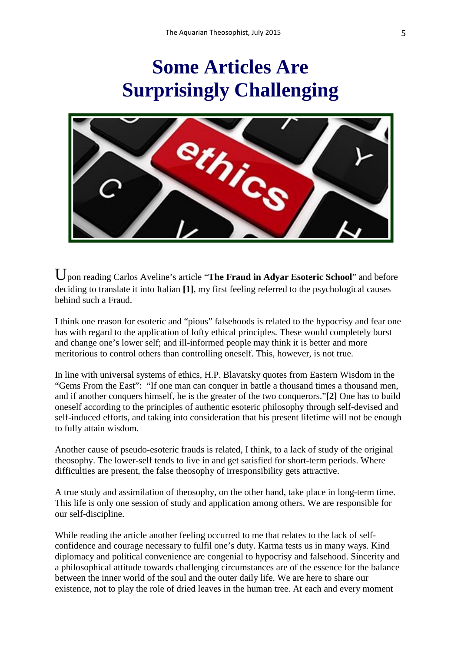



Upon reading Carlos Aveline's article "**The Fraud in Adyar Esoteric School**" and before deciding to translate it into Italian **[1]**, my first feeling referred to the psychological causes behind such a Fraud.

I think one reason for esoteric and "pious" falsehoods is related to the hypocrisy and fear one has with regard to the application of lofty ethical principles. These would completely burst and change one's lower self; and ill-informed people may think it is better and more meritorious to control others than controlling oneself. This, however, is not true.

In line with universal systems of ethics, H.P. Blavatsky quotes from Eastern Wisdom in the "Gems From the East": "If one man can conquer in battle a thousand times a thousand men, and if another conquers himself, he is the greater of the two conquerors."**[2]** One has to build oneself according to the principles of authentic esoteric philosophy through self-devised and self-induced efforts, and taking into consideration that his present lifetime will not be enough to fully attain wisdom.

Another cause of pseudo-esoteric frauds is related, I think, to a lack of study of the original theosophy. The lower-self tends to live in and get satisfied for short-term periods. Where difficulties are present, the false theosophy of irresponsibility gets attractive.

A true study and assimilation of theosophy, on the other hand, take place in long-term time. This life is only one session of study and application among others. We are responsible for our self-discipline.

While reading the article another feeling occurred to me that relates to the lack of selfconfidence and courage necessary to fulfil one's duty. Karma tests us in many ways. Kind diplomacy and political convenience are congenial to hypocrisy and falsehood. Sincerity and a philosophical attitude towards challenging circumstances are of the essence for the balance between the inner world of the soul and the outer daily life. We are here to share our existence, not to play the role of dried leaves in the human tree. At each and every moment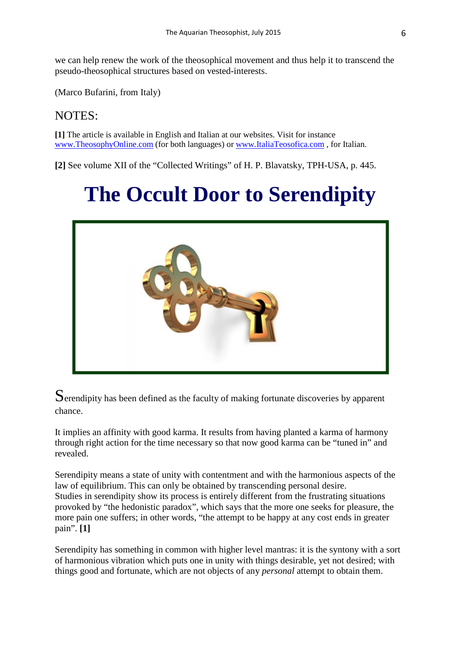we can help renew the work of the theosophical movement and thus help it to transcend the pseudo-theosophical structures based on vested-interests.

(Marco Bufarini, from Italy)

#### NOTES:

**[1]** The article is available in English and Italian at our websites. Visit for instance [www.TheosophyOnline.com](http://www.theosophyonline.com/) (for both languages) o[r www.ItaliaTeosofica.com](http://www.italiateosofica.com/) , for Italian.

**[2]** See volume XII of the "Collected Writings" of H. P. Blavatsky, TPH-USA, p. 445.

# **The Occult Door to Serendipity**



Serendipity has been defined as the faculty of making fortunate discoveries by apparent chance.

It implies an affinity with good karma. It results from having planted a karma of harmony through right action for the time necessary so that now good karma can be "tuned in" and revealed.

Serendipity means a state of unity with contentment and with the harmonious aspects of the law of equilibrium. This can only be obtained by transcending personal desire. Studies in serendipity show its process is entirely different from the frustrating situations provoked by "the hedonistic paradox", which says that the more one seeks for pleasure, the more pain one suffers; in other words, "the attempt to be happy at any cost ends in greater pain". **[1]**

Serendipity has something in common with higher level mantras: it is the syntony with a sort of harmonious vibration which puts one in unity with things desirable, yet not desired; with things good and fortunate, which are not objects of any *personal* attempt to obtain them.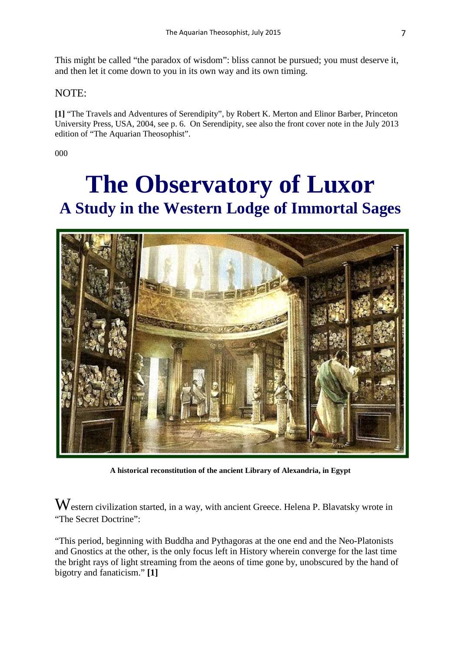This might be called "the paradox of wisdom": bliss cannot be pursued; you must deserve it, and then let it come down to you in its own way and its own timing.

#### NOTE:

**[1]** "The Travels and Adventures of Serendipity", by Robert K. Merton and Elinor Barber, Princeton University Press, USA, 2004, see p. 6. On Serendipity, see also the front cover note in the July 2013 edition of "The Aquarian Theosophist".

000

# **The Observatory of Luxor A Study in the Western Lodge of Immortal Sages**



**A historical reconstitution of the ancient Library of Alexandria, in Egypt**

Western civilization started, in a way, with ancient Greece. Helena P. Blavatsky wrote in "The Secret Doctrine":

"This period, beginning with Buddha and Pythagoras at the one end and the Neo-Platonists and Gnostics at the other, is the only focus left in History wherein converge for the last time the bright rays of light streaming from the aeons of time gone by, unobscured by the hand of bigotry and fanaticism." **[1]**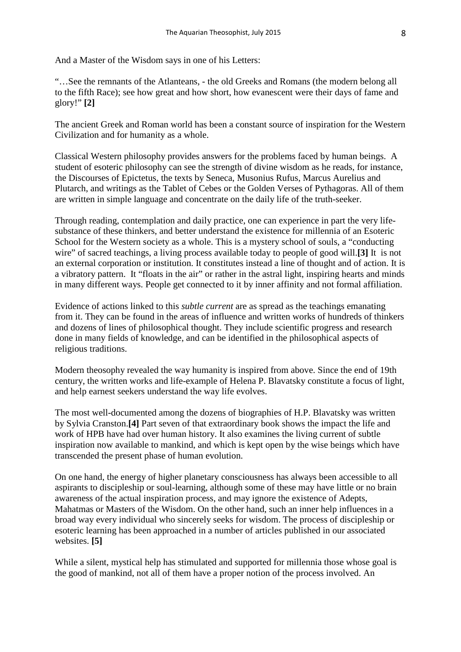And a Master of the Wisdom says in one of his Letters:

"…See the remnants of the Atlanteans, - the old Greeks and Romans (the modern belong all to the fifth Race); see how great and how short, how evanescent were their days of fame and glory!" **[2]** 

The ancient Greek and Roman world has been a constant source of inspiration for the Western Civilization and for humanity as a whole.

Classical Western philosophy provides answers for the problems faced by human beings. A student of esoteric philosophy can see the strength of divine wisdom as he reads, for instance, the Discourses of Epictetus, the texts by Seneca, Musonius Rufus, Marcus Aurelius and Plutarch, and writings as the Tablet of Cebes or the Golden Verses of Pythagoras. All of them are written in simple language and concentrate on the daily life of the truth-seeker.

Through reading, contemplation and daily practice, one can experience in part the very lifesubstance of these thinkers, and better understand the existence for millennia of an Esoteric School for the Western society as a whole. This is a mystery school of souls, a "conducting wire" of sacred teachings, a living process available today to people of good will.**[3]** It is not an external corporation or institution. It constitutes instead a line of thought and of action. It is a vibratory pattern. It "floats in the air" or rather in the astral light, inspiring hearts and minds in many different ways. People get connected to it by inner affinity and not formal affiliation.

Evidence of actions linked to this *subtle current* are as spread as the teachings emanating from it. They can be found in the areas of influence and written works of hundreds of thinkers and dozens of lines of philosophical thought. They include scientific progress and research done in many fields of knowledge, and can be identified in the philosophical aspects of religious traditions.

Modern theosophy revealed the way humanity is inspired from above. Since the end of 19th century, the written works and life-example of Helena P. Blavatsky constitute a focus of light, and help earnest seekers understand the way life evolves.

The most well-documented among the dozens of biographies of H.P. Blavatsky was written by Sylvia Cranston.**[4]** Part seven of that extraordinary book shows the impact the life and work of HPB have had over human history. It also examines the living current of subtle inspiration now available to mankind, and which is kept open by the wise beings which have transcended the present phase of human evolution.

On one hand, the energy of higher planetary consciousness has always been accessible to all aspirants to discipleship or soul-learning, although some of these may have little or no brain awareness of the actual inspiration process, and may ignore the existence of Adepts, Mahatmas or Masters of the Wisdom. On the other hand, such an inner help influences in a broad way every individual who sincerely seeks for wisdom. The process of discipleship or esoteric learning has been approached in a number of articles published in our associated websites. **[5]**

While a silent, mystical help has stimulated and supported for millennia those whose goal is the good of mankind, not all of them have a proper notion of the process involved. An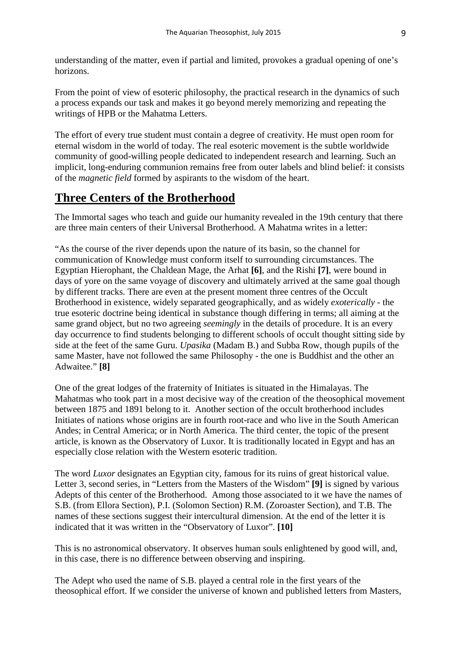understanding of the matter, even if partial and limited, provokes a gradual opening of one's horizons.

From the point of view of esoteric philosophy, the practical research in the dynamics of such a process expands our task and makes it go beyond merely memorizing and repeating the writings of HPB or the Mahatma Letters.

The effort of every true student must contain a degree of creativity. He must open room for eternal wisdom in the world of today. The real esoteric movement is the subtle worldwide community of good-willing people dedicated to independent research and learning. Such an implicit, long-enduring communion remains free from outer labels and blind belief: it consists of the *magnetic field* formed by aspirants to the wisdom of the heart.

#### **Three Centers of the Brotherhood**

The Immortal sages who teach and guide our humanity revealed in the 19th century that there are three main centers of their Universal Brotherhood. A Mahatma writes in a letter:

"As the course of the river depends upon the nature of its basin, so the channel for communication of Knowledge must conform itself to surrounding circumstances. The Egyptian Hierophant, the Chaldean Mage, the Arhat **[6]**, and the Rishi **[7]**, were bound in days of yore on the same voyage of discovery and ultimately arrived at the same goal though by different tracks. There are even at the present moment three centres of the Occult Brotherhood in existence, widely separated geographically, and as widely *exoterically* - the true esoteric doctrine being identical in substance though differing in terms; all aiming at the same grand object, but no two agreeing *seemingly* in the details of procedure. It is an every day occurrence to find students belonging to different schools of occult thought sitting side by side at the feet of the same Guru. *Upasika* (Madam B.) and Subba Row, though pupils of the same Master, have not followed the same Philosophy - the one is Buddhist and the other an Adwaitee." **[8]**

One of the great lodges of the fraternity of Initiates is situated in the Himalayas. The Mahatmas who took part in a most decisive way of the creation of the theosophical movement between 1875 and 1891 belong to it. Another section of the occult brotherhood includes Initiates of nations whose origins are in fourth root-race and who live in the South American Andes; in Central America; or in North America. The third center, the topic of the present article, is known as the Observatory of Luxor. It is traditionally located in Egypt and has an especially close relation with the Western esoteric tradition.

The word *Luxor* designates an Egyptian city, famous for its ruins of great historical value. Letter 3, second series, in "Letters from the Masters of the Wisdom" **[9]** is signed by various Adepts of this center of the Brotherhood. Among those associated to it we have the names of S.B. (from Ellora Section), P.I. (Solomon Section) R.M. (Zoroaster Section), and T.B. The names of these sections suggest their intercultural dimension. At the end of the letter it is indicated that it was written in the "Observatory of Luxor". **[10]**

This is no astronomical observatory. It observes human souls enlightened by good will, and, in this case, there is no difference between observing and inspiring.

The Adept who used the name of S.B. played a central role in the first years of the theosophical effort. If we consider the universe of known and published letters from Masters,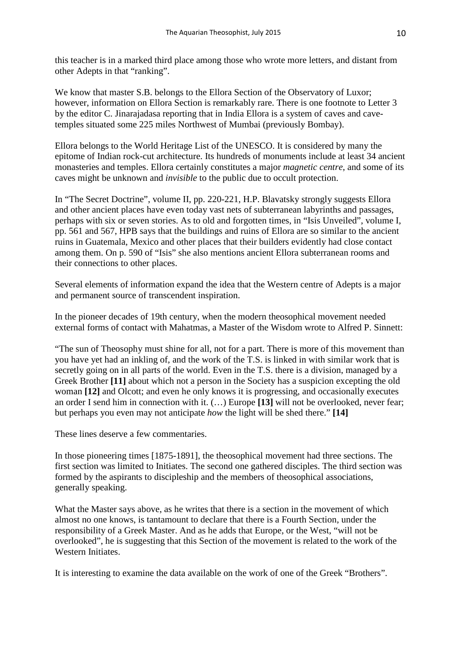this teacher is in a marked third place among those who wrote more letters, and distant from other Adepts in that "ranking".

We know that master S.B. belongs to the Ellora Section of the Observatory of Luxor; however, information on Ellora Section is remarkably rare. There is one footnote to Letter 3 by the editor C. Jinarajadasa reporting that in India Ellora is a system of caves and cavetemples situated some 225 miles Northwest of Mumbai (previously Bombay).

Ellora belongs to the World Heritage List of the UNESCO. It is considered by many the epitome of Indian rock-cut architecture. Its hundreds of monuments include at least 34 ancient monasteries and temples. Ellora certainly constitutes a major *magnetic centre*, and some of its caves might be unknown and *invisible* to the public due to occult protection.

In "The Secret Doctrine", volume II, pp. 220-221, H.P. Blavatsky strongly suggests Ellora and other ancient places have even today vast nets of subterranean labyrinths and passages, perhaps with six or seven stories. As to old and forgotten times, in "Isis Unveiled", volume I, pp. 561 and 567, HPB says that the buildings and ruins of Ellora are so similar to the ancient ruins in Guatemala, Mexico and other places that their builders evidently had close contact among them. On p. 590 of "Isis" she also mentions ancient Ellora subterranean rooms and their connections to other places.

Several elements of information expand the idea that the Western centre of Adepts is a major and permanent source of transcendent inspiration.

In the pioneer decades of 19th century, when the modern theosophical movement needed external forms of contact with Mahatmas, a Master of the Wisdom wrote to Alfred P. Sinnett:

"The sun of Theosophy must shine for all, not for a part. There is more of this movement than you have yet had an inkling of, and the work of the T.S. is linked in with similar work that is secretly going on in all parts of the world. Even in the T.S. there is a division, managed by a Greek Brother **[11]** about which not a person in the Society has a suspicion excepting the old woman **[12]** and Olcott; and even he only knows it is progressing, and occasionally executes an order I send him in connection with it. (…) Europe **[13]** will not be overlooked, never fear; but perhaps you even may not anticipate *how* the light will be shed there." **[14]**

These lines deserve a few commentaries.

In those pioneering times [1875-1891], the theosophical movement had three sections. The first section was limited to Initiates. The second one gathered disciples. The third section was formed by the aspirants to discipleship and the members of theosophical associations, generally speaking.

What the Master says above, as he writes that there is a section in the movement of which almost no one knows, is tantamount to declare that there is a Fourth Section, under the responsibility of a Greek Master. And as he adds that Europe, or the West, "will not be overlooked", he is suggesting that this Section of the movement is related to the work of the Western Initiates.

It is interesting to examine the data available on the work of one of the Greek "Brothers".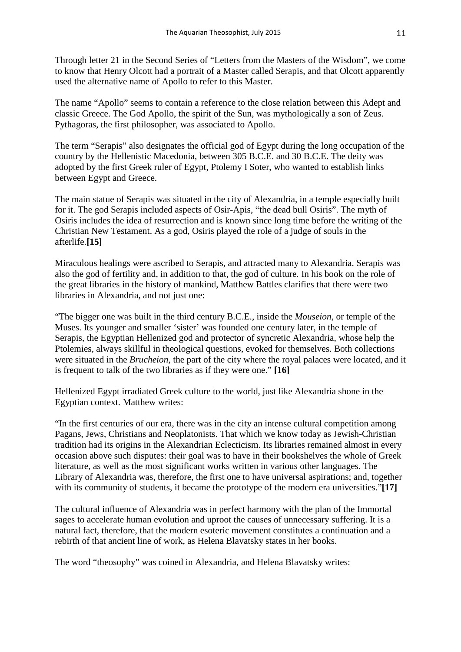Through letter 21 in the Second Series of "Letters from the Masters of the Wisdom", we come to know that Henry Olcott had a portrait of a Master called Serapis, and that Olcott apparently used the alternative name of Apollo to refer to this Master.

The name "Apollo" seems to contain a reference to the close relation between this Adept and classic Greece. The God Apollo, the spirit of the Sun, was mythologically a son of Zeus. Pythagoras, the first philosopher, was associated to Apollo.

The term "Serapis" also designates the official god of Egypt during the long occupation of the country by the Hellenistic Macedonia, between 305 B.C.E. and 30 B.C.E. The deity was adopted by the first Greek ruler of Egypt, Ptolemy I Soter, who wanted to establish links between Egypt and Greece.

The main statue of Serapis was situated in the city of Alexandria, in a temple especially built for it. The god Serapis included aspects of Osir-Apis, "the dead bull Osiris". The myth of Osiris includes the idea of resurrection and is known since long time before the writing of the Christian New Testament. As a god, Osiris played the role of a judge of souls in the afterlife.**[15]**

Miraculous healings were ascribed to Serapis, and attracted many to Alexandria. Serapis was also the god of fertility and, in addition to that, the god of culture. In his book on the role of the great libraries in the history of mankind, Matthew Battles clarifies that there were two libraries in Alexandria, and not just one:

"The bigger one was built in the third century B.C.E., inside the *Mouseion*, or temple of the Muses. Its younger and smaller 'sister' was founded one century later, in the temple of Serapis, the Egyptian Hellenized god and protector of syncretic Alexandria, whose help the Ptolemies, always skillful in theological questions, evoked for themselves. Both collections were situated in the *Brucheion*, the part of the city where the royal palaces were located, and it is frequent to talk of the two libraries as if they were one." **[16]**

Hellenized Egypt irradiated Greek culture to the world, just like Alexandria shone in the Egyptian context. Matthew writes:

"In the first centuries of our era, there was in the city an intense cultural competition among Pagans, Jews, Christians and Neoplatonists. That which we know today as Jewish-Christian tradition had its origins in the Alexandrian Eclecticism. Its libraries remained almost in every occasion above such disputes: their goal was to have in their bookshelves the whole of Greek literature, as well as the most significant works written in various other languages. The Library of Alexandria was, therefore, the first one to have universal aspirations; and, together with its community of students, it became the prototype of the modern era universities."**[17]**

The cultural influence of Alexandria was in perfect harmony with the plan of the Immortal sages to accelerate human evolution and uproot the causes of unnecessary suffering. It is a natural fact, therefore, that the modern esoteric movement constitutes a continuation and a rebirth of that ancient line of work, as Helena Blavatsky states in her books.

The word "theosophy" was coined in Alexandria, and Helena Blavatsky writes: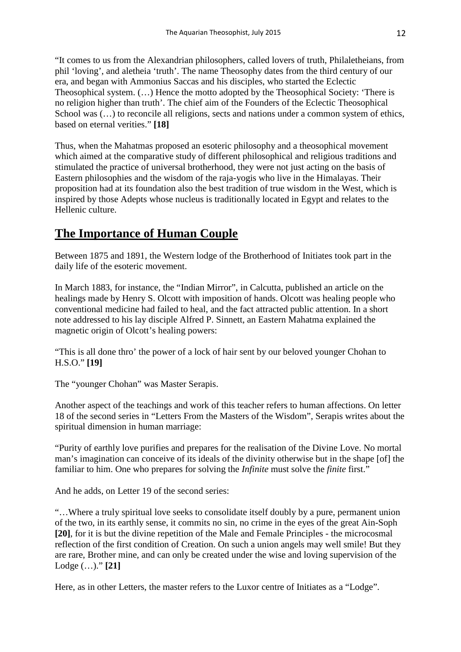"It comes to us from the Alexandrian philosophers, called lovers of truth, Philaletheians, from phil 'loving', and aletheia 'truth'. The name Theosophy dates from the third century of our era, and began with Ammonius Saccas and his disciples, who started the Eclectic Theosophical system. (…) Hence the motto adopted by the Theosophical Society: 'There is no religion higher than truth'. The chief aim of the Founders of the Eclectic Theosophical School was  $(...)$  to reconcile all religions, sects and nations under a common system of ethics, based on eternal verities." **[18]**

Thus, when the Mahatmas proposed an esoteric philosophy and a theosophical movement which aimed at the comparative study of different philosophical and religious traditions and stimulated the practice of universal brotherhood, they were not just acting on the basis of Eastern philosophies and the wisdom of the raja-yogis who live in the Himalayas. Their proposition had at its foundation also the best tradition of true wisdom in the West, which is inspired by those Adepts whose nucleus is traditionally located in Egypt and relates to the Hellenic culture.

### **The Importance of Human Couple**

Between 1875 and 1891, the Western lodge of the Brotherhood of Initiates took part in the daily life of the esoteric movement.

In March 1883, for instance, the "Indian Mirror", in Calcutta, published an article on the healings made by Henry S. Olcott with imposition of hands. Olcott was healing people who conventional medicine had failed to heal, and the fact attracted public attention. In a short note addressed to his lay disciple Alfred P. Sinnett, an Eastern Mahatma explained the magnetic origin of Olcott's healing powers:

"This is all done thro' the power of a lock of hair sent by our beloved younger Chohan to H.S.O." **[19]**

The "younger Chohan" was Master Serapis.

Another aspect of the teachings and work of this teacher refers to human affections. On letter 18 of the second series in "Letters From the Masters of the Wisdom", Serapis writes about the spiritual dimension in human marriage:

"Purity of earthly love purifies and prepares for the realisation of the Divine Love. No mortal man's imagination can conceive of its ideals of the divinity otherwise but in the shape [of] the familiar to him. One who prepares for solving the *Infinite* must solve the *finite* first."

And he adds, on Letter 19 of the second series:

"…Where a truly spiritual love seeks to consolidate itself doubly by a pure, permanent union of the two, in its earthly sense, it commits no sin, no crime in the eyes of the great Ain-Soph **[20]**, for it is but the divine repetition of the Male and Female Principles - the microcosmal reflection of the first condition of Creation. On such a union angels may well smile! But they are rare, Brother mine, and can only be created under the wise and loving supervision of the Lodge (…)." **[21]**

Here, as in other Letters, the master refers to the Luxor centre of Initiates as a "Lodge".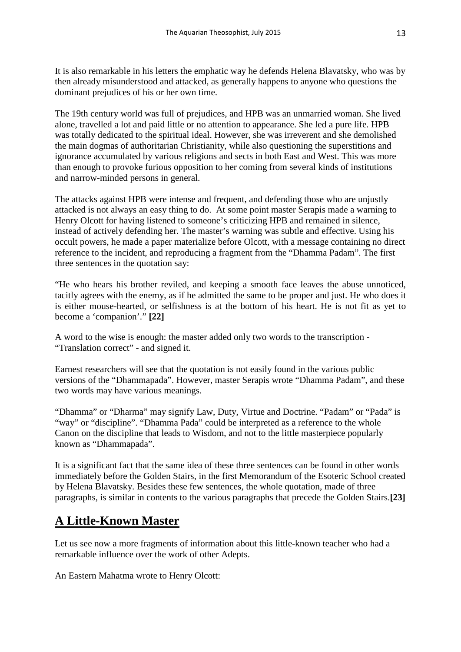It is also remarkable in his letters the emphatic way he defends Helena Blavatsky, who was by then already misunderstood and attacked, as generally happens to anyone who questions the dominant prejudices of his or her own time.

The 19th century world was full of prejudices, and HPB was an unmarried woman. She lived alone, travelled a lot and paid little or no attention to appearance. She led a pure life. HPB was totally dedicated to the spiritual ideal. However, she was irreverent and she demolished the main dogmas of authoritarian Christianity, while also questioning the superstitions and ignorance accumulated by various religions and sects in both East and West. This was more than enough to provoke furious opposition to her coming from several kinds of institutions and narrow-minded persons in general.

The attacks against HPB were intense and frequent, and defending those who are unjustly attacked is not always an easy thing to do. At some point master Serapis made a warning to Henry Olcott for having listened to someone's criticizing HPB and remained in silence, instead of actively defending her. The master's warning was subtle and effective. Using his occult powers, he made a paper materialize before Olcott, with a message containing no direct reference to the incident, and reproducing a fragment from the "Dhamma Padam". The first three sentences in the quotation say:

"He who hears his brother reviled, and keeping a smooth face leaves the abuse unnoticed, tacitly agrees with the enemy, as if he admitted the same to be proper and just. He who does it is either mouse-hearted, or selfishness is at the bottom of his heart. He is not fit as yet to become a 'companion'." **[22]**

A word to the wise is enough: the master added only two words to the transcription - "Translation correct" - and signed it.

Earnest researchers will see that the quotation is not easily found in the various public versions of the "Dhammapada". However, master Serapis wrote "Dhamma Padam", and these two words may have various meanings.

"Dhamma" or "Dharma" may signify Law, Duty, Virtue and Doctrine. "Padam" or "Pada" is "way" or "discipline". "Dhamma Pada" could be interpreted as a reference to the whole Canon on the discipline that leads to Wisdom, and not to the little masterpiece popularly known as "Dhammapada".

It is a significant fact that the same idea of these three sentences can be found in other words immediately before the Golden Stairs, in the first Memorandum of the Esoteric School created by Helena Blavatsky. Besides these few sentences, the whole quotation, made of three paragraphs, is similar in contents to the various paragraphs that precede the Golden Stairs.**[23]**

### **A Little-Known Master**

Let us see now a more fragments of information about this little-known teacher who had a remarkable influence over the work of other Adepts.

An Eastern Mahatma wrote to Henry Olcott: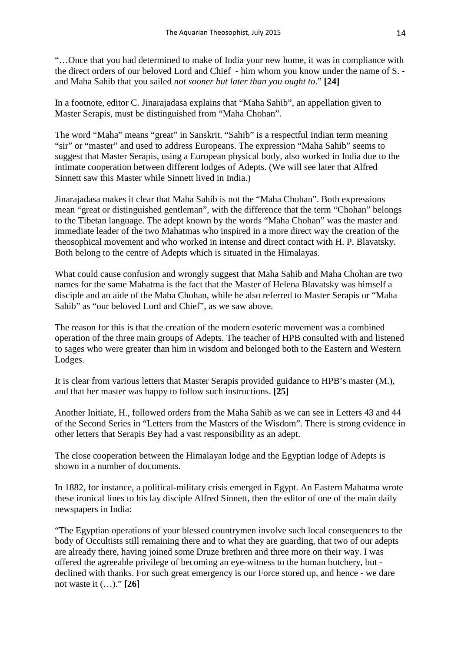"…Once that you had determined to make of India your new home, it was in compliance with the direct orders of our beloved Lord and Chief - him whom you know under the name of S. and Maha Sahib that you sailed *not sooner but later than you ought to*." **[24]**

In a footnote, editor C. Jinarajadasa explains that "Maha Sahib", an appellation given to Master Serapis, must be distinguished from "Maha Chohan".

The word "Maha" means "great" in Sanskrit. "Sahib" is a respectful Indian term meaning "sir" or "master" and used to address Europeans. The expression "Maha Sahib" seems to suggest that Master Serapis, using a European physical body, also worked in India due to the intimate cooperation between different lodges of Adepts. (We will see later that Alfred Sinnett saw this Master while Sinnett lived in India.)

Jinarajadasa makes it clear that Maha Sahib is not the "Maha Chohan". Both expressions mean "great or distinguished gentleman", with the difference that the term "Chohan" belongs to the Tibetan language. The adept known by the words "Maha Chohan" was the master and immediate leader of the two Mahatmas who inspired in a more direct way the creation of the theosophical movement and who worked in intense and direct contact with H. P. Blavatsky. Both belong to the centre of Adepts which is situated in the Himalayas.

What could cause confusion and wrongly suggest that Maha Sahib and Maha Chohan are two names for the same Mahatma is the fact that the Master of Helena Blavatsky was himself a disciple and an aide of the Maha Chohan, while he also referred to Master Serapis or "Maha Sahib" as "our beloved Lord and Chief", as we saw above.

The reason for this is that the creation of the modern esoteric movement was a combined operation of the three main groups of Adepts. The teacher of HPB consulted with and listened to sages who were greater than him in wisdom and belonged both to the Eastern and Western Lodges.

It is clear from various letters that Master Serapis provided guidance to HPB's master (M.), and that her master was happy to follow such instructions. **[25]**

Another Initiate, H., followed orders from the Maha Sahib as we can see in Letters 43 and 44 of the Second Series in "Letters from the Masters of the Wisdom". There is strong evidence in other letters that Serapis Bey had a vast responsibility as an adept.

The close cooperation between the Himalayan lodge and the Egyptian lodge of Adepts is shown in a number of documents.

In 1882, for instance, a political-military crisis emerged in Egypt. An Eastern Mahatma wrote these ironical lines to his lay disciple Alfred Sinnett, then the editor of one of the main daily newspapers in India:

"The Egyptian operations of your blessed countrymen involve such local consequences to the body of Occultists still remaining there and to what they are guarding, that two of our adepts are already there, having joined some Druze brethren and three more on their way. I was offered the agreeable privilege of becoming an eye-witness to the human butchery, but declined with thanks. For such great emergency is our Force stored up, and hence - we dare not waste it (…)." **[26]**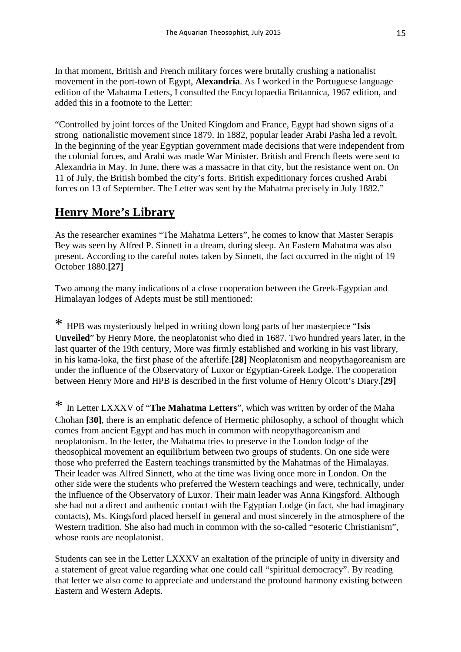In that moment, British and French military forces were brutally crushing a nationalist movement in the port-town of Egypt, **Alexandria**. As I worked in the Portuguese language edition of the Mahatma Letters, I consulted the Encyclopaedia Britannica, 1967 edition, and added this in a footnote to the Letter:

"Controlled by joint forces of the United Kingdom and France, Egypt had shown signs of a strong nationalistic movement since 1879. In 1882, popular leader Arabi Pasha led a revolt. In the beginning of the year Egyptian government made decisions that were independent from the colonial forces, and Arabi was made War Minister. British and French fleets were sent to Alexandria in May. In June, there was a massacre in that city, but the resistance went on. On 11 of July, the British bombed the city's forts. British expeditionary forces crushed Arabi forces on 13 of September. The Letter was sent by the Mahatma precisely in July 1882."

### **Henry More's Library**

As the researcher examines "The Mahatma Letters", he comes to know that Master Serapis Bey was seen by Alfred P. Sinnett in a dream, during sleep. An Eastern Mahatma was also present. According to the careful notes taken by Sinnett, the fact occurred in the night of 19 October 1880.**[27]**

Two among the many indications of a close cooperation between the Greek-Egyptian and Himalayan lodges of Adepts must be still mentioned:

\* HPB was mysteriously helped in writing down long parts of her masterpiece "**Isis Unveiled**" by Henry More, the neoplatonist who died in 1687. Two hundred years later, in the last quarter of the 19th century, More was firmly established and working in his vast library, in his kama-loka, the first phase of the afterlife.**[28]** Neoplatonism and neopythagoreanism are under the influence of the Observatory of Luxor or Egyptian-Greek Lodge. The cooperation between Henry More and HPB is described in the first volume of Henry Olcott's Diary.**[29]**

\* In Letter LXXXV of "**The Mahatma Letters**", which was written by order of the Maha Chohan **[30]**, there is an emphatic defence of Hermetic philosophy, a school of thought which comes from ancient Egypt and has much in common with neopythagoreanism and neoplatonism. In the letter, the Mahatma tries to preserve in the London lodge of the theosophical movement an equilibrium between two groups of students. On one side were those who preferred the Eastern teachings transmitted by the Mahatmas of the Himalayas. Their leader was Alfred Sinnett, who at the time was living once more in London. On the other side were the students who preferred the Western teachings and were, technically, under the influence of the Observatory of Luxor. Their main leader was Anna Kingsford. Although she had not a direct and authentic contact with the Egyptian Lodge (in fact, she had imaginary contacts), Ms. Kingsford placed herself in general and most sincerely in the atmosphere of the Western tradition. She also had much in common with the so-called "esoteric Christianism", whose roots are neoplatonist.

Students can see in the Letter LXXXV an exaltation of the principle of unity in diversity and a statement of great value regarding what one could call "spiritual democracy". By reading that letter we also come to appreciate and understand the profound harmony existing between Eastern and Western Adepts.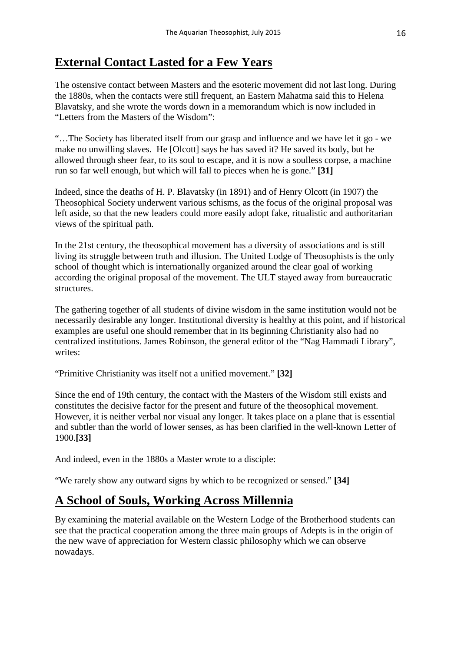### **External Contact Lasted for a Few Years**

The ostensive contact between Masters and the esoteric movement did not last long. During the 1880s, when the contacts were still frequent, an Eastern Mahatma said this to Helena Blavatsky, and she wrote the words down in a memorandum which is now included in "Letters from the Masters of the Wisdom":

"…The Society has liberated itself from our grasp and influence and we have let it go - we make no unwilling slaves. He [Olcott] says he has saved it? He saved its body, but he allowed through sheer fear, to its soul to escape, and it is now a soulless corpse, a machine run so far well enough, but which will fall to pieces when he is gone." **[31]**

Indeed, since the deaths of H. P. Blavatsky (in 1891) and of Henry Olcott (in 1907) the Theosophical Society underwent various schisms, as the focus of the original proposal was left aside, so that the new leaders could more easily adopt fake, ritualistic and authoritarian views of the spiritual path.

In the 21st century, the theosophical movement has a diversity of associations and is still living its struggle between truth and illusion. The United Lodge of Theosophists is the only school of thought which is internationally organized around the clear goal of working according the original proposal of the movement. The ULT stayed away from bureaucratic structures.

The gathering together of all students of divine wisdom in the same institution would not be necessarily desirable any longer. Institutional diversity is healthy at this point, and if historical examples are useful one should remember that in its beginning Christianity also had no centralized institutions. James Robinson, the general editor of the "Nag Hammadi Library", writes:

"Primitive Christianity was itself not a unified movement." **[32]**

Since the end of 19th century, the contact with the Masters of the Wisdom still exists and constitutes the decisive factor for the present and future of the theosophical movement. However, it is neither verbal nor visual any longer. It takes place on a plane that is essential and subtler than the world of lower senses, as has been clarified in the well-known Letter of 1900.**[33]** 

And indeed, even in the 1880s a Master wrote to a disciple:

"We rarely show any outward signs by which to be recognized or sensed." **[34]**

#### **A School of Souls, Working Across Millennia**

By examining the material available on the Western Lodge of the Brotherhood students can see that the practical cooperation among the three main groups of Adepts is in the origin of the new wave of appreciation for Western classic philosophy which we can observe nowadays.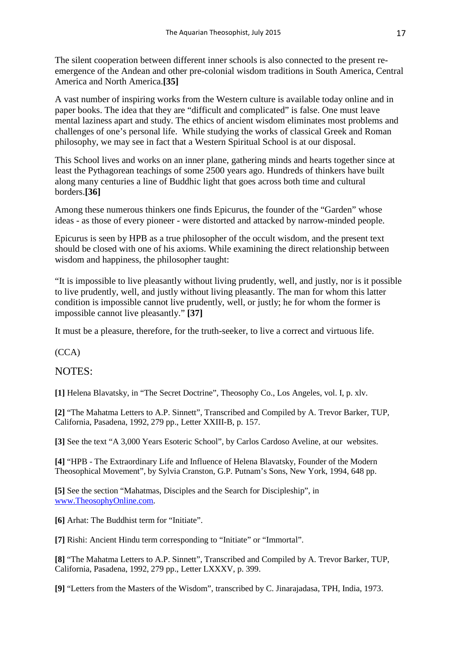The silent cooperation between different inner schools is also connected to the present reemergence of the Andean and other pre-colonial wisdom traditions in South America, Central America and North America.**[35]**

A vast number of inspiring works from the Western culture is available today online and in paper books. The idea that they are "difficult and complicated" is false. One must leave mental laziness apart and study. The ethics of ancient wisdom eliminates most problems and challenges of one's personal life. While studying the works of classical Greek and Roman philosophy, we may see in fact that a Western Spiritual School is at our disposal.

This School lives and works on an inner plane, gathering minds and hearts together since at least the Pythagorean teachings of some 2500 years ago. Hundreds of thinkers have built along many centuries a line of Buddhic light that goes across both time and cultural borders.**[36]** 

Among these numerous thinkers one finds Epicurus, the founder of the "Garden" whose ideas - as those of every pioneer - were distorted and attacked by narrow-minded people.

Epicurus is seen by HPB as a true philosopher of the occult wisdom, and the present text should be closed with one of his axioms. While examining the direct relationship between wisdom and happiness, the philosopher taught:

"It is impossible to live pleasantly without living prudently, well, and justly, nor is it possible to live prudently, well, and justly without living pleasantly. The man for whom this latter condition is impossible cannot live prudently, well, or justly; he for whom the former is impossible cannot live pleasantly." **[37]** 

It must be a pleasure, therefore, for the truth-seeker, to live a correct and virtuous life.

(CCA)

#### NOTES:

**[1]** Helena Blavatsky, in "The Secret Doctrine", Theosophy Co., Los Angeles, vol. I, p. xlv.

**[2]** "The Mahatma Letters to A.P. Sinnett", Transcribed and Compiled by A. Trevor Barker, TUP, California, Pasadena, 1992, 279 pp., Letter XXIII-B, p. 157.

**[3]** See the text "A 3,000 Years Esoteric School", by Carlos Cardoso Aveline, at our websites.

**[4]** "HPB - The Extraordinary Life and Influence of Helena Blavatsky, Founder of the Modern Theosophical Movement", by Sylvia Cranston, G.P. Putnam's Sons, New York, 1994, 648 pp.

**[5]** See the section "Mahatmas, Disciples and the Search for Discipleship", in [www.TheosophyOnline.com.](http://www.theosophyonline.com/)

**[6]** Arhat: The Buddhist term for "Initiate".

[7] Rishi: Ancient Hindu term corresponding to "Initiate" or "Immortal".

**[8]** "The Mahatma Letters to A.P. Sinnett", Transcribed and Compiled by A. Trevor Barker, TUP, California, Pasadena, 1992, 279 pp., Letter LXXXV, p. 399.

**[9]** "Letters from the Masters of the Wisdom", transcribed by C. Jinarajadasa, TPH, India, 1973.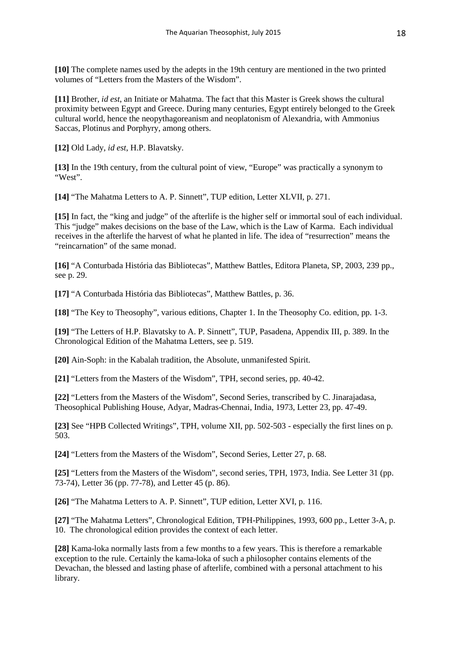**[10]** The complete names used by the adepts in the 19th century are mentioned in the two printed volumes of "Letters from the Masters of the Wisdom".

**[11]** Brother, *id est*, an Initiate or Mahatma. The fact that this Master is Greek shows the cultural proximity between Egypt and Greece. During many centuries, Egypt entirely belonged to the Greek cultural world, hence the neopythagoreanism and neoplatonism of Alexandria, with Ammonius Saccas, Plotinus and Porphyry, among others.

**[12]** Old Lady, *id est*, H.P. Blavatsky.

**[13]** In the 19th century, from the cultural point of view, "Europe" was practically a synonym to "West".

**[14]** "The Mahatma Letters to A. P. Sinnett", TUP edition, Letter XLVII, p. 271.

**[15]** In fact, the "king and judge" of the afterlife is the higher self or immortal soul of each individual. This "judge" makes decisions on the base of the Law, which is the Law of Karma. Each individual receives in the afterlife the harvest of what he planted in life. The idea of "resurrection" means the "reincarnation" of the same monad.

**[16]** "A Conturbada História das Bibliotecas", Matthew Battles, Editora Planeta, SP, 2003, 239 pp., see p. 29.

**[17]** "A Conturbada História das Bibliotecas", Matthew Battles, p. 36.

**[18]** "The Key to Theosophy", various editions, Chapter 1. In the Theosophy Co. edition, pp. 1-3.

**[19]** "The Letters of H.P. Blavatsky to A. P. Sinnett", TUP, Pasadena, Appendix III, p. 389. In the Chronological Edition of the Mahatma Letters, see p. 519.

**[20]** Ain-Soph: in the Kabalah tradition, the Absolute, unmanifested Spirit.

**[21]** "Letters from the Masters of the Wisdom", TPH, second series, pp. 40-42.

**[22]** "Letters from the Masters of the Wisdom", Second Series, transcribed by C. Jinarajadasa, Theosophical Publishing House, Adyar, Madras-Chennai, India, 1973, Letter 23, pp. 47-49.

**[23]** See "HPB Collected Writings", TPH, volume XII, pp. 502-503 - especially the first lines on p. 503.

**[24]** "Letters from the Masters of the Wisdom", Second Series, Letter 27, p. 68.

**[25]** "Letters from the Masters of the Wisdom", second series, TPH, 1973, India. See Letter 31 (pp. 73-74), Letter 36 (pp. 77-78), and Letter 45 (p. 86).

**[26]** "The Mahatma Letters to A. P. Sinnett", TUP edition, Letter XVI, p. 116.

**[27]** "The Mahatma Letters", Chronological Edition, TPH-Philippines, 1993, 600 pp., Letter 3-A, p. 10. The chronological edition provides the context of each letter.

**[28]** Kama-loka normally lasts from a few months to a few years. This is therefore a remarkable exception to the rule. Certainly the kama-loka of such a philosopher contains elements of the Devachan, the blessed and lasting phase of afterlife, combined with a personal attachment to his library.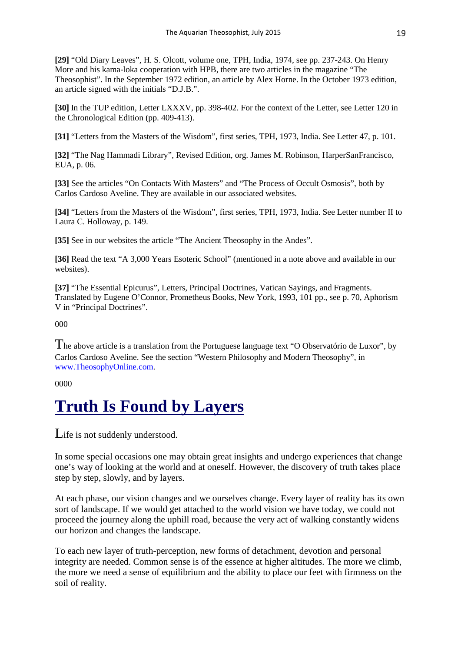**[29]** "Old Diary Leaves", H. S. Olcott, volume one, TPH, India, 1974, see pp. 237-243. On Henry More and his kama-loka cooperation with HPB, there are two articles in the magazine "The Theosophist". In the September 1972 edition, an article by Alex Horne. In the October 1973 edition, an article signed with the initials "D.J.B.".

**[30]** In the TUP edition, Letter LXXXV, pp. 398-402. For the context of the Letter, see Letter 120 in the Chronological Edition (pp. 409-413).

**[31]** "Letters from the Masters of the Wisdom", first series, TPH, 1973, India. See Letter 47, p. 101.

**[32]** "The Nag Hammadi Library", Revised Edition, org. James M. Robinson, HarperSanFrancisco, EUA, p. 06.

**[33]** See the articles "On Contacts With Masters" and "The Process of Occult Osmosis", both by Carlos Cardoso Aveline. They are available in our associated websites.

**[34]** "Letters from the Masters of the Wisdom", first series, TPH, 1973, India. See Letter number II to Laura C. Holloway, p. 149.

**[35]** See in our websites the article "The Ancient Theosophy in the Andes".

**[36]** Read the text "A 3,000 Years Esoteric School" (mentioned in a note above and available in our websites).

**[37]** "The Essential Epicurus", Letters, Principal Doctrines, Vatican Sayings, and Fragments. Translated by Eugene O'Connor, Prometheus Books, New York, 1993, 101 pp., see p. 70, Aphorism V in "Principal Doctrines".

000

The above article is a translation from the Portuguese language text "O Observatório de Luxor", by Carlos Cardoso Aveline. See the section "Western Philosophy and Modern Theosophy", in [www.TheosophyOnline.com.](http://www.theosophyonline.com/)

0000

## **Truth Is Found by Layers**

Life is not suddenly understood.

In some special occasions one may obtain great insights and undergo experiences that change one's way of looking at the world and at oneself. However, the discovery of truth takes place step by step, slowly, and by layers.

At each phase, our vision changes and we ourselves change. Every layer of reality has its own sort of landscape. If we would get attached to the world vision we have today, we could not proceed the journey along the uphill road, because the very act of walking constantly widens our horizon and changes the landscape.

To each new layer of truth-perception, new forms of detachment, devotion and personal integrity are needed. Common sense is of the essence at higher altitudes. The more we climb, the more we need a sense of equilibrium and the ability to place our feet with firmness on the soil of reality.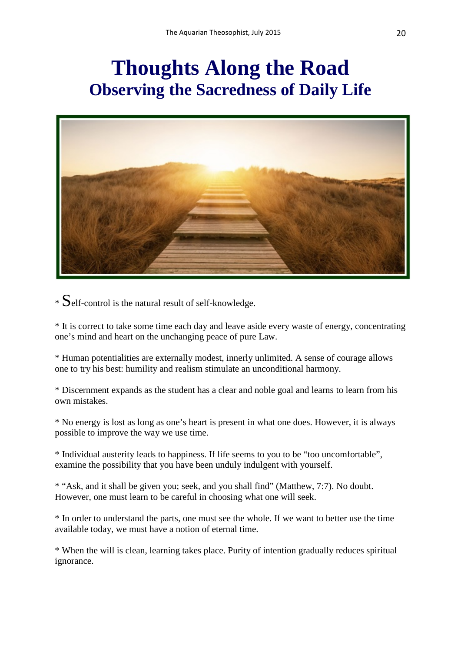## **Thoughts Along the Road Observing the Sacredness of Daily Life**



 $\ast$  Self-control is the natural result of self-knowledge.

\* It is correct to take some time each day and leave aside every waste of energy, concentrating one's mind and heart on the unchanging peace of pure Law.

\* Human potentialities are externally modest, innerly unlimited. A sense of courage allows one to try his best: humility and realism stimulate an unconditional harmony.

\* Discernment expands as the student has a clear and noble goal and learns to learn from his own mistakes.

\* No energy is lost as long as one's heart is present in what one does. However, it is always possible to improve the way we use time.

\* Individual austerity leads to happiness. If life seems to you to be "too uncomfortable", examine the possibility that you have been unduly indulgent with yourself.

\* "Ask, and it shall be given you; seek, and you shall find" (Matthew, 7:7). No doubt. However, one must learn to be careful in choosing what one will seek.

\* In order to understand the parts, one must see the whole. If we want to better use the time available today, we must have a notion of eternal time.

\* When the will is clean, learning takes place. Purity of intention gradually reduces spiritual ignorance.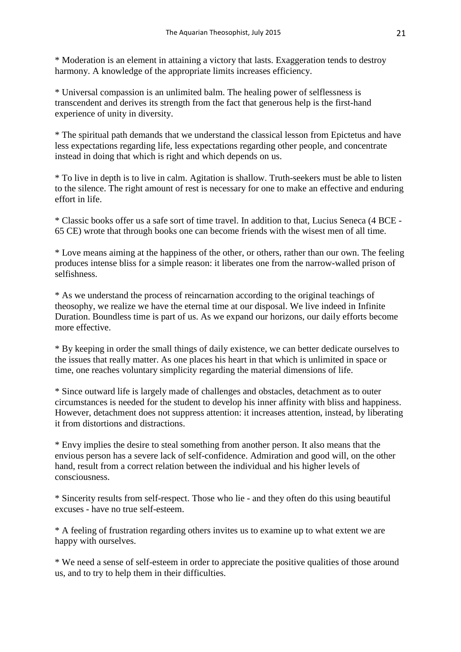\* Moderation is an element in attaining a victory that lasts. Exaggeration tends to destroy harmony. A knowledge of the appropriate limits increases efficiency.

\* Universal compassion is an unlimited balm. The healing power of selflessness is transcendent and derives its strength from the fact that generous help is the first-hand experience of unity in diversity.

\* The spiritual path demands that we understand the classical lesson from Epictetus and have less expectations regarding life, less expectations regarding other people, and concentrate instead in doing that which is right and which depends on us.

\* To live in depth is to live in calm. Agitation is shallow. Truth-seekers must be able to listen to the silence. The right amount of rest is necessary for one to make an effective and enduring effort in life.

\* Classic books offer us a safe sort of time travel. In addition to that, Lucius Seneca (4 BCE - 65 CE) wrote that through books one can become friends with the wisest men of all time.

\* Love means aiming at the happiness of the other, or others, rather than our own. The feeling produces intense bliss for a simple reason: it liberates one from the narrow-walled prison of selfishness.

\* As we understand the process of reincarnation according to the original teachings of theosophy, we realize we have the eternal time at our disposal. We live indeed in Infinite Duration. Boundless time is part of us. As we expand our horizons, our daily efforts become more effective.

\* By keeping in order the small things of daily existence, we can better dedicate ourselves to the issues that really matter. As one places his heart in that which is unlimited in space or time, one reaches voluntary simplicity regarding the material dimensions of life.

\* Since outward life is largely made of challenges and obstacles, detachment as to outer circumstances is needed for the student to develop his inner affinity with bliss and happiness. However, detachment does not suppress attention: it increases attention, instead, by liberating it from distortions and distractions.

\* Envy implies the desire to steal something from another person. It also means that the envious person has a severe lack of self-confidence. Admiration and good will, on the other hand, result from a correct relation between the individual and his higher levels of consciousness.

\* Sincerity results from self-respect. Those who lie - and they often do this using beautiful excuses - have no true self-esteem.

\* A feeling of frustration regarding others invites us to examine up to what extent we are happy with ourselves.

\* We need a sense of self-esteem in order to appreciate the positive qualities of those around us, and to try to help them in their difficulties.